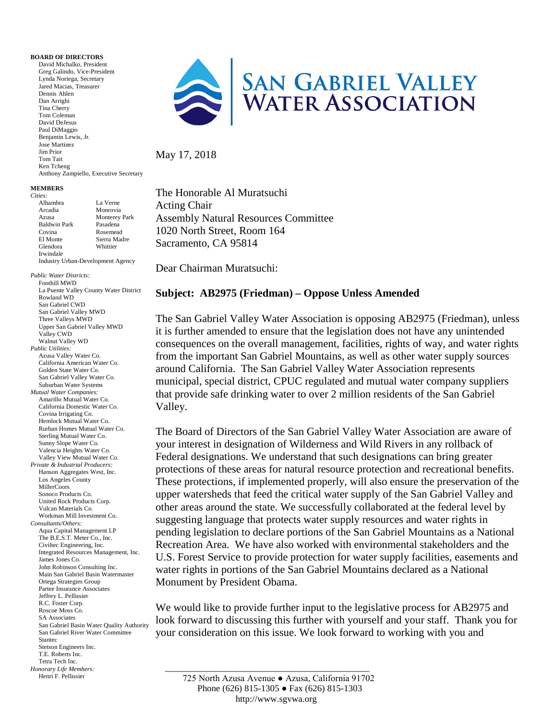## **BOARD OF DIRECTORS**

David Michalko, President Greg Galindo, Vice-President Lynda Noriega, Secretary Jared Macias, Treasurer Dennis Ahlen Dan Arrighi Tina Cherry Tom Coleman David DeJesus Paul DiMaggio Benjamin Lewis, Jr. Jose Martinez Jim Prior Tom Tait Ken Tcheng Anthony Zampiello, Executive Secretary

## **MEMBERS**

*Cities:*

| ities:              |                                          |
|---------------------|------------------------------------------|
| Alhambra            | La Verne                                 |
| Arcadia             | Monrovia                                 |
| Azusa               | <b>Monterey Park</b>                     |
| <b>Baldwin Park</b> | Pasadena                                 |
| Covina              | Rosemead                                 |
| El Monte            | Sierra Madre                             |
| Glendora            | Whittier                                 |
| Irwindale           |                                          |
|                     | <b>Industry Urban-Development Agency</b> |

*Public Water Districts:* Foothill MWD La Puente Valley County Water District

 \_\_\_\_\_\_\_\_\_\_\_\_\_\_\_\_\_\_\_\_\_\_\_\_\_\_\_\_\_\_\_\_\_\_\_\_\_\_\_\_\_\_\_\_\_ Rowland WD San Gabriel CWD San Gabriel Valley MWD Three Valleys MWD Upper San Gabriel Valley MWD Valley CWD Walnut Valley WD *Public Utilities:* Azusa Valley Water Co. California American Water Co. Golden State Water Co. San Gabriel Valley Water Co. Suburban Water Systems *Mutual Water Companies:* Amarillo Mutual Water Co. California Domestic Water Co. Covina Irrigating Co. Hemlock Mutual Water Co. Rurban Homes Mutual Water Co. Sterling Mutual Water Co. Sunny Slope Water Co. Valencia Heights Water Co. Valley View Mutual Water Co. *Private & Industrial Producers:* Hanson Aggregates West, Inc. Los Angeles County MillerCoors Sonoco Products Co. United Rock Products Corp. Vulcan Materials Co. Workman Mill Investment Co. *Consultants/Others:* Aqua Capital Management LP The B.E.S.T. Meter Co., Inc. Civiltec Engineering, Inc. Integrated Resources Management, Inc. James Jones Co. John Robinson Consulting Inc. Main San Gabriel Basin Watermaster Ortega Strategies Group Partee Insurance Associates Jeffrey L. Pellissier R.C. Foster Corp. Roscoe Moss Co. SA Associates San Gabriel Basin Water Quality Authority San Gabriel River Water Committee Stantec Stetson Engineers Inc. T.E. Roberts Inc. Tetra Tech Inc. *Honorary Life Members:*

Henri F. Pellissier



May 17, 2018

The Honorable Al Muratsuchi Acting Chair Assembly Natural Resources Committee 1020 North Street, Room 164 Sacramento, CA 95814

Dear Chairman Muratsuchi:

## **Subject: AB2975 (Friedman) – Oppose Unless Amended**

The San Gabriel Valley Water Association is opposing AB2975 (Friedman), unless it is further amended to ensure that the legislation does not have any unintended consequences on the overall management, facilities, rights of way, and water rights from the important San Gabriel Mountains, as well as other water supply sources around California. The San Gabriel Valley Water Association represents municipal, special district, CPUC regulated and mutual water company suppliers that provide safe drinking water to over 2 million residents of the San Gabriel Valley.

The Board of Directors of the San Gabriel Valley Water Association are aware of your interest in designation of Wilderness and Wild Rivers in any rollback of Federal designations. We understand that such designations can bring greater protections of these areas for natural resource protection and recreational benefits. These protections, if implemented properly, will also ensure the preservation of the upper watersheds that feed the critical water supply of the San Gabriel Valley and other areas around the state. We successfully collaborated at the federal level by suggesting language that protects water supply resources and water rights in pending legislation to declare portions of the San Gabriel Mountains as a National Recreation Area. We have also worked with environmental stakeholders and the U.S. Forest Service to provide protection for water supply facilities, easements and water rights in portions of the San Gabriel Mountains declared as a National Monument by President Obama.

We would like to provide further input to the legislative process for AB2975 and look forward to discussing this further with yourself and your staff. Thank you for your consideration on this issue. We look forward to working with you and